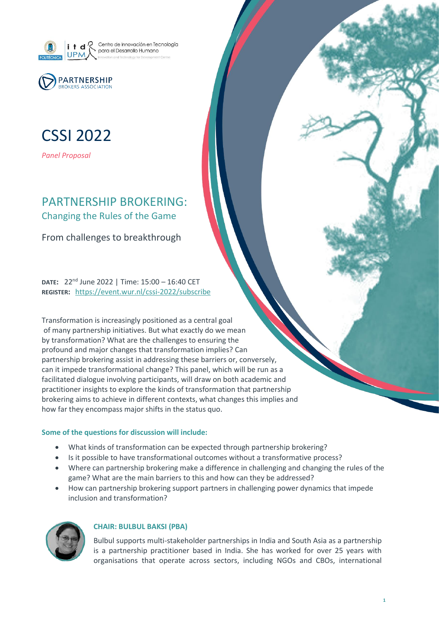



# CSSI 2022

*Panel Proposal*

# PARTNERSHIP BROKERING: Changing the Rules of the Game

From challenges to breakthrough

**DATE:** 22nd June 2022 | Time: 15:00 – 16:40 CET **REGISTER:** <https://event.wur.nl/cssi-2022/subscribe>

Transformation is increasingly positioned as a central goal of many partnership initiatives. But what exactly do we mean by transformation? What are the challenges to ensuring the profound and major changes that transformation implies? Can partnership brokering assist in addressing these barriers or, conversely, can it impede transformational change? This panel, which will be run as a facilitated dialogue involving participants, will draw on both academic and practitioner insights to explore the kinds of transformation that partnership brokering aims to achieve in different contexts, what changes this implies and how far they encompass major shifts in the status quo.

### **Some of the questions for discussion will include:**

- What kinds of transformation can be expected through partnership brokering?
- Is it possible to have transformational outcomes without a transformative process?
- Where can partnership brokering make a difference in challenging and changing the rules of the game? What are the main barriers to this and how can they be addressed?
- How can partnership brokering support partners in challenging power dynamics that impede inclusion and transformation?



## **CHAIR: BULBUL BAKSI (PBA)**

Bulbul supports multi-stakeholder partnerships in India and South Asia as a partnership is a partnership practitioner based in India. She has worked for over 25 years with organisations that operate across sectors, including NGOs and CBOs, international